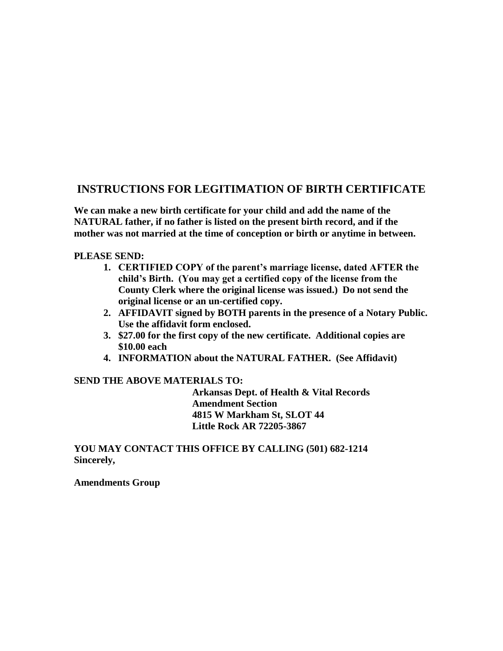## **INSTRUCTIONS FOR LEGITIMATION OF BIRTH CERTIFICATE**

**We can make a new birth certificate for your child and add the name of the NATURAL father, if no father is listed on the present birth record, and if the mother was not married at the time of conception or birth or anytime in between.**

## **PLEASE SEND:**

- **1. CERTIFIED COPY of the parent's marriage license, dated AFTER the child's Birth. (You may get a certified copy of the license from the County Clerk where the original license was issued.) Do not send the original license or an un-certified copy.**
- **2. AFFIDAVIT signed by BOTH parents in the presence of a Notary Public. Use the affidavit form enclosed.**
- **3. \$27.00 for the first copy of the new certificate. Additional copies are \$10.00 each**
- **4. INFORMATION about the NATURAL FATHER. (See Affidavit)**

## **SEND THE ABOVE MATERIALS TO:**

**Arkansas Dept. of Health & Vital Records Amendment Section 4815 W Markham St, SLOT 44 Little Rock AR 72205-3867**

**YOU MAY CONTACT THIS OFFICE BY CALLING (501) 682-1214 Sincerely,**

**Amendments Group**